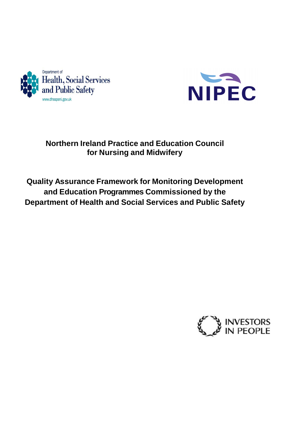



# **Northern Ireland Practice and Education Council for Nursing and Midwifery**

# **Quality Assurance Framework for Monitoring Development and Education Programmes Commissioned by the Department of Health and Social Services and Public Safety**

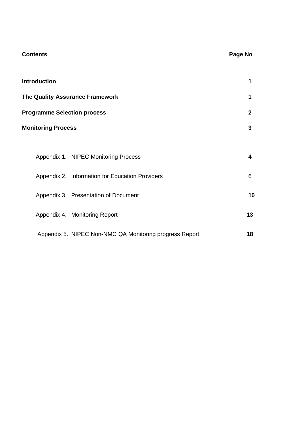| <b>Contents</b>                                         | Page No      |
|---------------------------------------------------------|--------------|
| <b>Introduction</b>                                     | 1            |
| The Quality Assurance Framework                         | 1            |
| <b>Programme Selection process</b>                      | $\mathbf{2}$ |
| <b>Monitoring Process</b>                               | 3            |
|                                                         |              |
| Appendix 1. NIPEC Monitoring Process                    | 4            |
| Appendix 2. Information for Education Providers         | 6            |
| Appendix 3. Presentation of Document                    | 10           |
| Appendix 4. Monitoring Report                           | 13           |
| Appendix 5. NIPEC Non-NMC QA Monitoring progress Report | 18           |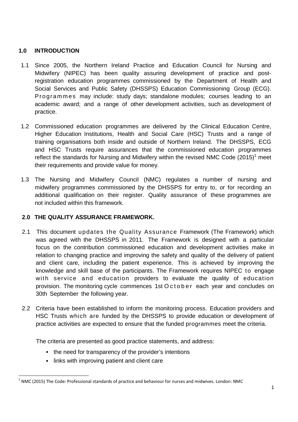## **1.0 INTRODUCTION**

- 1.1 Since 2005, the Northern Ireland Practice and Education Council for Nursing and Midwifery (NIPEC) has been quality assuring development of practice and postregistration education programmes commissioned by the Department of Health and Social Services and Public Safety (DHSSPS) Education Commissioning Group (ECG). P rogrammes may include: study days; standalone modules; courses leading to an academic award; and a range of other development activities, such as development of practice.
- 1.2 Commissioned education programmes are delivered by the Clinical Education Centre, Higher Education Institutions, Health and Social Care (HSC) Trusts and a range of training organisations both inside and outside of Northern Ireland. The DHSSPS, ECG and HSC Trusts require assurances that the commissioned education programmes reflect the standards for Nursing and Midwifery within the revised NMC Code  $(2015)^1$  meet their requirements and provide value for money.
- 1.3 The Nursing and Midwifery Council (NMC) regulates a number of nursing and midwifery programmes commissioned by the DHSSPS for entry to, or for recording an additional qualification on their register. Quality assurance of these programmes are not included within this framework.

#### **2.0 THE QUALITY ASSURANCE FRAMEWORK.**

- 2.1 This document updates the Quality Assurance Framework (The Framework) which was agreed with the DHSSPS in 2011. The Framework is designed with a particular focus on the contribution commissioned education and development activities make in relation to changing practice and improving the safety and quality of the delivery of patient and client care, including the patient experience. This is achieved by improving the knowledge and skill base of the participants. The Framework requires NIPEC to engage with service and education providers to evaluate the quality of education provision. The monitoring cycle commences 1st O c t o b e r each year and concludes on 30th September the following year.
- 2.2 Criteria have been established to inform the monitoring process. Education providers and HSC Trusts which are funded by the DHSSPS to provide education or development of practice activities are expected to ensure that the funded programmes meet the criteria.

The criteria are presented as good practice statements, and address:

- the need for transparency of the provider's intentions
- links with improving patient and client care

<u>.</u>

<sup>1</sup> NMC (2015) The Code: Professional standards of practice and behaviour for nurses and midwives. London: NMC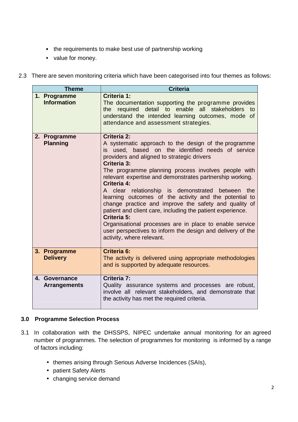- the requirements to make best use of partnership working
- value for money.
- 2.3 There are seven monitoring criteria which have been categorised into four themes as follows:

| <b>Theme</b>                         | <b>Criteria</b>                                                                                                                                                                                                                                                                                                                                                                                                                                                                                                                                                                                                                                                                                                                      |
|--------------------------------------|--------------------------------------------------------------------------------------------------------------------------------------------------------------------------------------------------------------------------------------------------------------------------------------------------------------------------------------------------------------------------------------------------------------------------------------------------------------------------------------------------------------------------------------------------------------------------------------------------------------------------------------------------------------------------------------------------------------------------------------|
| 1. Programme<br><b>Information</b>   | Criteria 1:<br>The documentation supporting the programme provides<br>required<br>detail to enable all stakeholders to<br>the<br>understand the intended learning outcomes, mode of<br>attendance and assessment strategies.                                                                                                                                                                                                                                                                                                                                                                                                                                                                                                         |
| 2. Programme<br><b>Planning</b>      | Criteria 2:<br>A systematic approach to the design of the programme<br>is used, based on the identified needs of service<br>providers and aligned to strategic drivers<br>Criteria 3:<br>The programme planning process involves people with<br>relevant expertise and demonstrates partnership working.<br>Criteria 4:<br>A clear relationship is demonstrated<br>between the<br>learning outcomes of the activity and the potential to<br>change practice and improve the safety and quality of<br>patient and client care, including the patient experience.<br>Criteria 5:<br>Organisational processes are in place to enable service<br>user perspectives to inform the design and delivery of the<br>activity, where relevant. |
| 3. Programme<br><b>Delivery</b>      | <b>Criteria 6:</b><br>The activity is delivered using appropriate methodologies<br>and is supported by adequate resources.                                                                                                                                                                                                                                                                                                                                                                                                                                                                                                                                                                                                           |
| 4. Governance<br><b>Arrangements</b> | Criteria 7:<br>Quality assurance systems and processes are robust,<br>involve all relevant stakeholders, and demonstrate that<br>the activity has met the required criteria.                                                                                                                                                                                                                                                                                                                                                                                                                                                                                                                                                         |

#### **3.0 Programme Selection Process**

- 3.1 In collaboration with the DHSSPS, NIPEC undertake annual monitoring for an agreed number of programmes. The selection of programmes for monitoring is informed by a range of factors including:
	- themes arising through Serious Adverse Incidences (SAIs),
	- patient Safety Alerts
	- changing service demand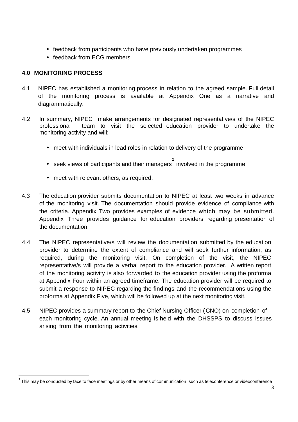- feedback from participants who have previously undertaken programmes
- feedback from ECG members

## **4.0 MONITORING PROCESS**

<u>.</u>

- 4.1 NIPEC has established a monitoring process in relation to the agreed sample. Full detail of the monitoring process is available at Appendix One as a narrative and diagrammatically.
- 4.2 In summary, NIPEC make arrangements for designated representative/s of the NIPEC professional team to visit the selected education provider to undertake the monitoring activity and will:
	- meet with individuals in lead roles in relation to delivery of the programme
	- seek views of participants and their managers involved in the programme
	- meet with relevant others, as required.
- 4.3 The education provider submits documentation to NIPEC at least two weeks in advance of the monitoring visit. The documentation should provide evidence of compliance with the criteria. Appendix Two provides examples of evidence which may be submitted. Appendix Three provides guidance for education providers regarding presentation of the documentation.
- 4.4 The NIPEC representative/s will review the documentation submitted by the education provider to determine the extent of compliance and will seek further information, as required, during the monitoring visit. On completion of the visit, the NIPEC representative/s will provide a verbal report to the education provider. A written report of the monitoring activity is also forwarded to the education provider using the proforma at Appendix Four within an agreed timeframe. The education provider will be required to submit a response to NIPEC regarding the findings and the recommendations using the proforma at Appendix Five, which will be followed up at the next monitoring visit.
- 4.5 NIPEC provides a summary report to the Chief Nursing Officer (CNO) on completion of each monitoring cycle. An annual meeting is held with the DHSSPS to discuss issues arising from the monitoring activities.

 $2$  This may be conducted by face to face meetings or by other means of communication, such as teleconference or videoconference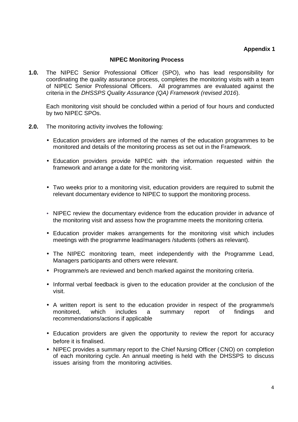#### **Appendix 1**

#### **NIPEC Monitoring Process**

**1.0.** The NIPEC Senior Professional Officer (SPO), who has lead responsibility for coordinating the quality assurance process, completes the monitoring visits with a team of NIPEC Senior Professional Officers. All programmes are evaluated against the criteria in the DHSSPS Quality Assurance (QA) Framework (revised 2016).

Each monitoring visit should be concluded within a period of four hours and conducted by two NIPEC SPOs.

- **2.0.** The monitoring activity involves the following:
	- Education providers are informed of the names of the education programmes to be monitored and details of the monitoring process as set out in the Framework.
	- Education providers provide NIPEC with the information requested within the framework and arrange a date for the monitoring visit.
	- Two weeks prior to a monitoring visit, education providers are required to submit the relevant documentary evidence to NIPEC to support the monitoring process.
	- NIPEC review the documentary evidence from the education provider in advance of the monitoring visit and assess how the programme meets the monitoring criteria.
	- Education provider makes arrangements for the monitoring visit which includes meetings with the programme lead/managers /students (others as relevant).
	- The NIPEC monitoring team, meet independently with the Programme Lead, Managers participants and others were relevant.
	- Programme/s are reviewed and bench marked against the monitoring criteria.
	- Informal verbal feedback is given to the education provider at the conclusion of the visit.
	- A written report is sent to the education provider in respect of the programme/s monitored, which includes a summary report of findings and recommendations/actions if applicable
	- Education providers are given the opportunity to review the report for accuracy before it is finalised.
	- NIPEC provides a summary report to the Chief Nursing Officer (CNO) on completion of each monitoring cycle. An annual meeting is held with the DHSSPS to discuss issues arising from the monitoring activities.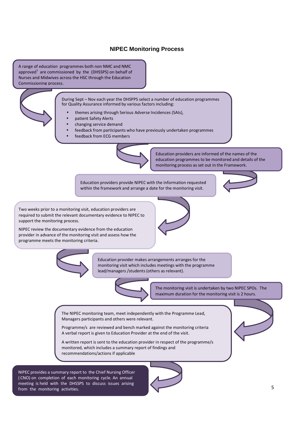#### **NIPEC Monitoring Process**

A range of education programmes both non NMC and NMC approved $^1$  are commissioned by the (DHSSPS) on behalf of Nurses and Midwives across the HSC through the Education Commissioning process.

> During Sept – Nov each year the DHSPPS select a number of education programmes for Quality Assurance informed by various factors including:

- themes arising through Serious Adverse Incidences (SAIs),
- patient Safety Alerts
- changing service demand
- feedback from participants who have previously undertaken programmes
- feedback from ECG members



Education providers are informed of the names of the education programmes to be monitored and details of the monitoring process as set out in the Framework.

Education providers provide NIPEC with the information requested within the framework and arrange a date for the monitoring visit.



Two weeks prior to a monitoring visit, education providers are required to submit the relevant documentary evidence to NIPEC to support the monitoring process.

NIPEC review the documentary evidence from the education provider in advance of the monitoring visit and assess how the programme meets the monitoring criteria.





Education provider makes arrangements arranges for the monitoring visit which includes meetings with the programme lead/managers /students (others as relevant).

The monitoring visit is undertaken by two NIPEC SPOs. The maximum duration for the monitoring visit is 2 hours.

The NIPEC monitoring team, meet independently with the Programme Lead, Managers participants and others were relevant.

Programme/s are reviewed and bench marked against the monitoring criteria A verbal report is given to Education Provider at the end of the visit.

A written report is sent to the education provider in respect of the programme/s monitored, which includes a summary report of findings and recommendations/actions if applicable

NIPEC provides a summary report to the Chief Nursing Officer ( CNO) on completion of each monitoring cycle. An annual meeting is held with the DHSSPS to discuss issues arising from the monitoring activities.



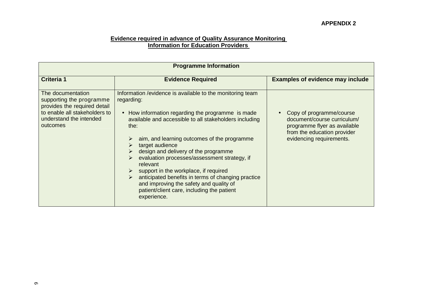# **Evidence required in advance of Quality Assurance Monitoring Information for Education Providers**

| <b>Programme Information</b>                                                                                                                          |                                                                                                                                                                                                                                                                                                                                                                                                                                                                                                                                                                                   |                                                                                                                                                    |  |
|-------------------------------------------------------------------------------------------------------------------------------------------------------|-----------------------------------------------------------------------------------------------------------------------------------------------------------------------------------------------------------------------------------------------------------------------------------------------------------------------------------------------------------------------------------------------------------------------------------------------------------------------------------------------------------------------------------------------------------------------------------|----------------------------------------------------------------------------------------------------------------------------------------------------|--|
| <b>Criteria 1</b>                                                                                                                                     | <b>Evidence Required</b>                                                                                                                                                                                                                                                                                                                                                                                                                                                                                                                                                          | <b>Examples of evidence may include</b>                                                                                                            |  |
| The documentation<br>supporting the programme<br>provides the required detail<br>to enable all stakeholders to<br>understand the intended<br>outcomes | Information / evidence is available to the monitoring team<br>regarding:<br>• How information regarding the programme is made<br>available and accessible to all stakeholders including<br>the:<br>aim, and learning outcomes of the programme<br>target audience<br>design and delivery of the programme<br>evaluation processes/assessment strategy, if<br>relevant<br>support in the workplace, if required<br>anticipated benefits in terms of changing practice<br>≻<br>and improving the safety and quality of<br>patient/client care, including the patient<br>experience. | Copy of programme/course<br>document/course curriculum/<br>programme flyer as available<br>from the education provider<br>evidencing requirements. |  |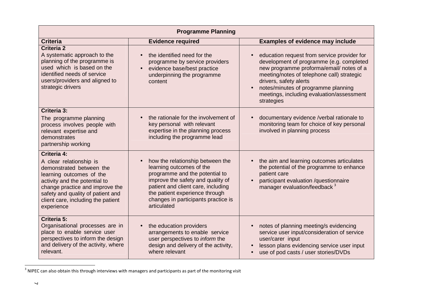| <b>Programme Planning</b>                                                                                                                                                                                                                                          |                                                                                                                                                                                                                                                                   |                                                                                                                                                                                                                                                                                                                            |
|--------------------------------------------------------------------------------------------------------------------------------------------------------------------------------------------------------------------------------------------------------------------|-------------------------------------------------------------------------------------------------------------------------------------------------------------------------------------------------------------------------------------------------------------------|----------------------------------------------------------------------------------------------------------------------------------------------------------------------------------------------------------------------------------------------------------------------------------------------------------------------------|
| <b>Criteria</b>                                                                                                                                                                                                                                                    | <b>Evidence required</b>                                                                                                                                                                                                                                          | <b>Examples of evidence may include</b>                                                                                                                                                                                                                                                                                    |
| Criteria 2<br>A systematic approach to the<br>planning of the programme is<br>used which is based on the<br>identified needs of service<br>users/providers and aligned to<br>strategic drivers                                                                     | the identified need for the<br>programme by service providers<br>evidence base/best practice<br>underpinning the programme<br>content                                                                                                                             | education request from service provider for<br>development of programme (e.g. completed<br>new programme proforma/email/ notes of a<br>meeting/notes of telephone call) strategic<br>drivers, safety alerts<br>notes/minutes of programme planning<br>$\bullet$<br>meetings, including evaluation/assessment<br>strategies |
| Criteria 3:<br>The programme planning<br>process involves people with<br>relevant expertise and<br>demonstrates<br>partnership working                                                                                                                             | the rationale for the involvement of<br>key personal with relevant<br>expertise in the planning process<br>including the programme lead                                                                                                                           | documentary evidence /verbal rationale to<br>monitoring team for choice of key personal<br>involved in planning process                                                                                                                                                                                                    |
| <b>Criteria 4:</b><br>A clear relationship is<br>demonstrated between the<br>learning outcomes of the<br>activity and the potential to<br>change practice and improve the<br>safety and quality of patient and<br>client care, including the patient<br>experience | how the relationship between the<br>learning outcomes of the<br>programme and the potential to<br>improve the safety and quality of<br>patient and client care, including<br>the patient experience through<br>changes in participants practice is<br>articulated | the aim and learning outcomes articulates<br>$\bullet$<br>the potential of the programme to enhance<br>patient care<br>participant evaluation /questionnaire<br>manager evaluation/feedback <sup>3</sup>                                                                                                                   |
| Criteria 5:<br>Organisational processes are in<br>place to enable service user<br>perspectives to inform the design<br>and delivery of the activity, where<br>relevant.                                                                                            | the education providers<br>$\bullet$<br>arrangements to enable service<br>user perspectives to inform the<br>design and delivery of the activity,<br>where relevant                                                                                               | notes of planning meeting/s evidencing<br>$\bullet$<br>service user input/consideration of service<br>user/carer input<br>lesson plans evidencing service user input<br>use of pod casts / user stories/DVDs                                                                                                               |

 $3$  NIPEC can also obtain this through interviews with managers and participants as part of the monitoring visit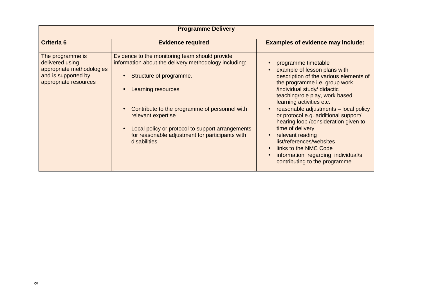| <b>Programme Delivery</b>                                                                                        |                                                                                                                                                                                                                                                                                                                                                        |                                                                                                                                                                                                                                                                                                                                                                                                                                                                                                                                       |  |
|------------------------------------------------------------------------------------------------------------------|--------------------------------------------------------------------------------------------------------------------------------------------------------------------------------------------------------------------------------------------------------------------------------------------------------------------------------------------------------|---------------------------------------------------------------------------------------------------------------------------------------------------------------------------------------------------------------------------------------------------------------------------------------------------------------------------------------------------------------------------------------------------------------------------------------------------------------------------------------------------------------------------------------|--|
| <b>Criteria 6</b>                                                                                                | <b>Evidence required</b>                                                                                                                                                                                                                                                                                                                               | <b>Examples of evidence may include:</b>                                                                                                                                                                                                                                                                                                                                                                                                                                                                                              |  |
| The programme is<br>delivered using<br>appropriate methodologies<br>and is supported by<br>appropriate resources | Evidence to the monitoring team should provide<br>information about the delivery methodology including:<br>Structure of programme.<br>Learning resources<br>Contribute to the programme of personnel with<br>relevant expertise<br>Local policy or protocol to support arrangements<br>for reasonable adjustment for participants with<br>disabilities | programme timetable<br>example of lesson plans with<br>description of the various elements of<br>the programme i.e. group work<br>/individual study/ didactic<br>teaching/role play, work based<br>learning activities etc.<br>reasonable adjustments - local policy<br>or protocol e.g. additional support/<br>hearing loop /consideration given to<br>time of delivery<br>relevant reading<br>$\bullet$<br>list/references/websites<br>links to the NMC Code<br>information regarding individual/s<br>contributing to the programme |  |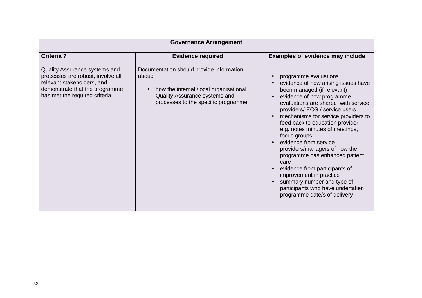| <b>Governance Arrangement</b>                                                                                                                                        |                                                                                                                                                                                   |                                                                                                                                                                                                                                                                                                                                                                                                                                                                                                                                                                                                   |  |
|----------------------------------------------------------------------------------------------------------------------------------------------------------------------|-----------------------------------------------------------------------------------------------------------------------------------------------------------------------------------|---------------------------------------------------------------------------------------------------------------------------------------------------------------------------------------------------------------------------------------------------------------------------------------------------------------------------------------------------------------------------------------------------------------------------------------------------------------------------------------------------------------------------------------------------------------------------------------------------|--|
| Criteria 7                                                                                                                                                           | <b>Evidence required</b>                                                                                                                                                          | <b>Examples of evidence may include</b>                                                                                                                                                                                                                                                                                                                                                                                                                                                                                                                                                           |  |
| Quality Assurance systems and<br>processes are robust, involve all<br>relevant stakeholders, and<br>demonstrate that the programme<br>has met the required criteria. | Documentation should provide information<br>about:<br>how the internal /local organisational<br>$\bullet$<br>Quality Assurance systems and<br>processes to the specific programme | programme evaluations<br>evidence of how arising issues have<br>been managed (if relevant)<br>evidence of how programme<br>evaluations are shared with service<br>providers/ ECG / service users<br>mechanisms for service providers to<br>feed back to education provider -<br>e.g. notes minutes of meetings,<br>focus groups<br>evidence from service<br>providers/managers of how the<br>programme has enhanced patient<br>care<br>evidence from participants of<br>improvement in practice<br>summary number and type of<br>participants who have undertaken<br>programme date/s of delivery |  |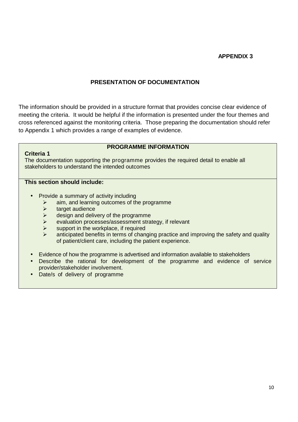#### **APPENDIX 3**

#### **PRESENTATION OF DOCUMENTATION**

The information should be provided in a structure format that provides concise clear evidence of meeting the criteria. It would be helpful if the information is presented under the four themes and cross referenced against the monitoring criteria. Those preparing the documentation should refer to Appendix 1 which provides a range of examples of evidence.

## **PROGRAMME INFORMATION**

The documentation supporting the programme provides the required detail to enable all stakeholders to understand the intended outcomes

#### **This section should include:**

**Criteria 1** 

- Provide a summary of activity including
	- $\triangleright$  aim, and learning outcomes of the programme
	- $\triangleright$  target audience
	- Sumble design and delivery of the programme
	- evaluation processes/assessment strategy, if relevant
	- $\triangleright$  support in the workplace, if required
	- anticipated benefits in terms of changing practice and improving the safety and quality of patient/client care, including the patient experience.
- Evidence of how the programme is advertised and information available to stakeholders
- Describe the rational for development of the programme and evidence of service provider/stakeholder involvement.
- Date/s of delivery of programme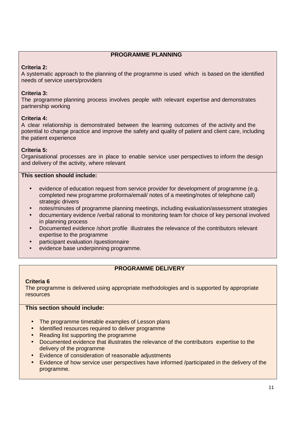#### **PROGRAMME PLANNING**

#### **Criteria 2:**

A systematic approach to the planning of the programme is used which is based on the identified needs of service users/providers

#### **Criteria 3:**

The programme planning process involves people with relevant expertise and demonstrates partnership working

#### **Criteria 4:**

A clear relationship is demonstrated between the learning outcomes of the activity and the potential to change practice and improve the safety and quality of patient and client care, including the patient experience

#### **Criteria 5:**

Organisational processes are in place to enable service user perspectives to inform the design and delivery of the activity, where relevant

#### **This section should include:**

- evidence of education request from service provider for development of programme (e.g. completed new programme proforma/email/ notes of a meeting/notes of telephone call) strategic drivers
- notes/minutes of programme planning meetings, including evaluation/assessment strategies
- documentary evidence /verbal rational to monitoring team for choice of key personal involved in planning process
- Documented evidence /short profile illustrates the relevance of the contributors relevant expertise to the programme
- participant evaluation /questionnaire
- evidence base underpinning programme.

#### **PROGRAMME DELIVERY**

#### **Criteria 6**

The programme is delivered using appropriate methodologies and is supported by appropriate resources

#### **This section should include:**

- The programme timetable examples of Lesson plans
- Identified resources required to deliver programme
- Reading list supporting the programme
- Documented evidence that illustrates the relevance of the contributors expertise to the delivery of the programme
- Evidence of consideration of reasonable adjustments
- Evidence of how service user perspectives have informed /participated in the delivery of the programme.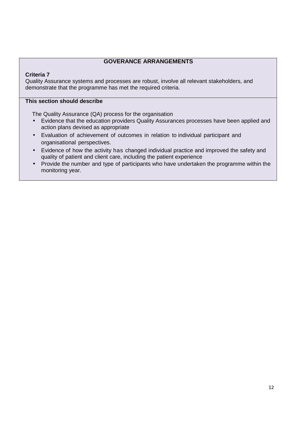#### **GOVERANCE ARRANGEMENTS**

#### **Criteria 7**

Quality Assurance systems and processes are robust, involve all relevant stakeholders, and demonstrate that the programme has met the required criteria.

#### **This section should describe**

The Quality Assurance (QA) process for the organisation

- Evidence that the education providers Quality Assurances processes have been applied and action plans devised as appropriate
- Evaluation of achievement of outcomes in relation to individual participant and organisational perspectives.
- Evidence of how the activity has changed individual practice and improved the safety and quality of patient and client care, including the patient experience
- Provide the number and type of participants who have undertaken the programme within the monitoring year.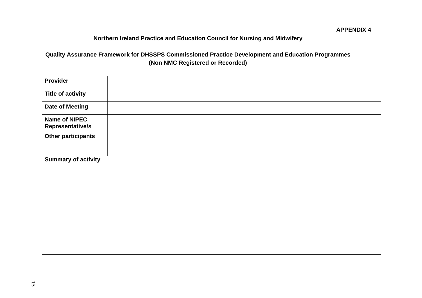# **Northern Ireland Practice and Education Council for Nursing and Midwifery**

# **Quality Assurance Framework for DHSSPS Commissioned Practice Development and Education Programmes (Non NMC Registered or Recorded)**

| <b>Provider</b>                          |  |
|------------------------------------------|--|
| <b>Title of activity</b>                 |  |
| <b>Date of Meeting</b>                   |  |
| <b>Name of NIPEC</b><br>Representative/s |  |
| <b>Other participants</b>                |  |
|                                          |  |
| <b>Summary of activity</b>               |  |
|                                          |  |
|                                          |  |
|                                          |  |
|                                          |  |
|                                          |  |
|                                          |  |
|                                          |  |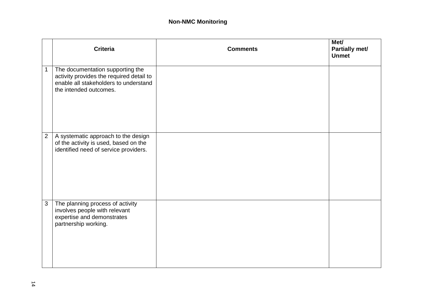#### **Non-NMC Monitoring**

|                | <b>Criteria</b>                                                                                                                                 | <b>Comments</b> | Met/<br>Partially met/<br><b>Unmet</b> |
|----------------|-------------------------------------------------------------------------------------------------------------------------------------------------|-----------------|----------------------------------------|
| $\mathbf 1$    | The documentation supporting the<br>activity provides the required detail to<br>enable all stakeholders to understand<br>the intended outcomes. |                 |                                        |
| $\overline{2}$ | A systematic approach to the design<br>of the activity is used, based on the<br>identified need of service providers.                           |                 |                                        |
| $\mathbf{3}$   | The planning process of activity<br>involves people with relevant<br>expertise and demonstrates<br>partnership working.                         |                 |                                        |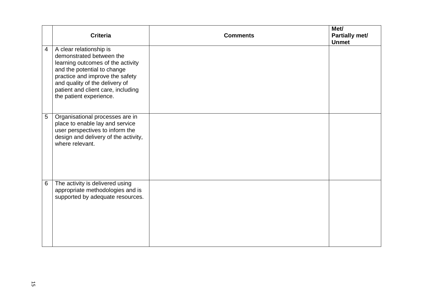|                | <b>Criteria</b>                                                                                                                                                                                                                                               | <b>Comments</b> | Met/<br>Partially met/<br><b>Unmet</b> |
|----------------|---------------------------------------------------------------------------------------------------------------------------------------------------------------------------------------------------------------------------------------------------------------|-----------------|----------------------------------------|
| $\overline{4}$ | A clear relationship is<br>demonstrated between the<br>learning outcomes of the activity<br>and the potential to change<br>practice and improve the safety<br>and quality of the delivery of<br>patient and client care, including<br>the patient experience. |                 |                                        |
| 5              | Organisational processes are in<br>place to enable lay and service<br>user perspectives to inform the<br>design and delivery of the activity,<br>where relevant.                                                                                              |                 |                                        |
| 6              | The activity is delivered using<br>appropriate methodologies and is<br>supported by adequate resources.                                                                                                                                                       |                 |                                        |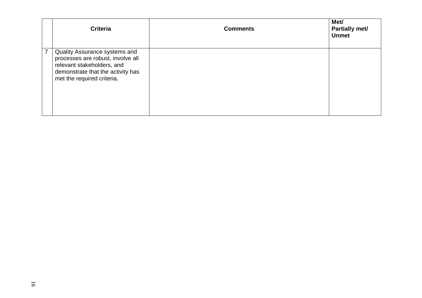|                | <b>Criteria</b>                                                                                                                                                     | <b>Comments</b> | Met/<br>Partially met/<br><b>Unmet</b> |
|----------------|---------------------------------------------------------------------------------------------------------------------------------------------------------------------|-----------------|----------------------------------------|
| $\overline{7}$ | Quality Assurance systems and<br>processes are robust, involve all<br>relevant stakeholders, and<br>demonstrate that the activity has<br>met the required criteria. |                 |                                        |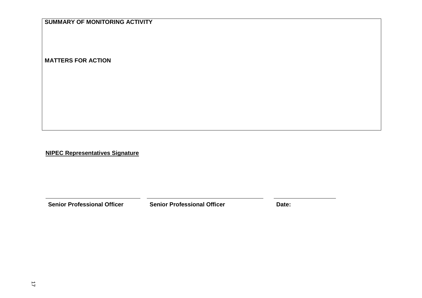## **SUMMARY OF MONITORING ACTIVITY**

**MATTERS FOR ACTION** 

**NIPEC Representatives Signature**

**Senior Professional Officer Senior Professional Officer Date:**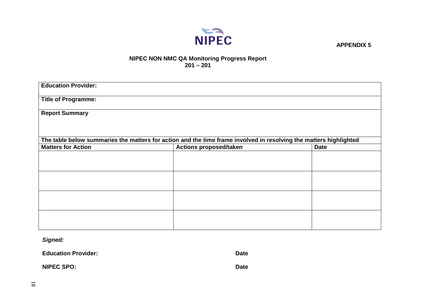

 **APPENDIX 5** 

#### **NIPEC NON NMC QA Monitoring Progress Report 201 – 201**

| <b>Education Provider:</b> |                                                                                                                   |             |
|----------------------------|-------------------------------------------------------------------------------------------------------------------|-------------|
| <b>Title of Programme:</b> |                                                                                                                   |             |
| <b>Report Summary</b>      |                                                                                                                   |             |
|                            |                                                                                                                   |             |
|                            | The table below summaries the matters for action and the time frame involved in resolving the matters highlighted |             |
| <b>Matters for Action</b>  | <b>Actions proposed/taken</b>                                                                                     | <b>Date</b> |
|                            |                                                                                                                   |             |
|                            |                                                                                                                   |             |
|                            |                                                                                                                   |             |
|                            |                                                                                                                   |             |
|                            |                                                                                                                   |             |
|                            |                                                                                                                   |             |
|                            |                                                                                                                   |             |
|                            |                                                                                                                   |             |

**Signed:** 

**Education Provider: Date Date Date** 

**NIPEC SPO:** Date